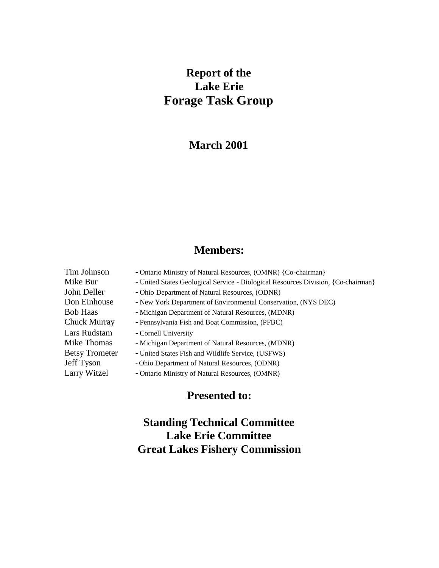# **Report of the Lake Erie Forage Task Group**

# **March 2001**

# **Members:**

- Tim Johnson Ontario Ministry of Natural Resources, (OMNR) {Co-chairman}
- Mike Bur United States Geological Service Biological Resources Division, {Co-chairman}
- John Deller Ohio Department of Natural Resources, (ODNR)
- Don Einhouse New York Department of Environmental Conservation, (NYS DEC)
- Bob Haas Michigan Department of Natural Resources, (MDNR)
- Chuck Murray Pennsylvania Fish and Boat Commission, (PFBC)
	-
- Mike Thomas Michigan Department of Natural Resources, (MDNR)
- Betsy Trometer United States Fish and Wildlife Service, (USFWS)
- Jeff Tyson Ohio Department of Natural Resources, (ODNR)
- Larry Witzel Ontario Ministry of Natural Resources, (OMNR)

# **Presented to:**

# **Standing Technical Committee Lake Erie Committee Great Lakes Fishery Commission**

Lars Rudstam - Cornell University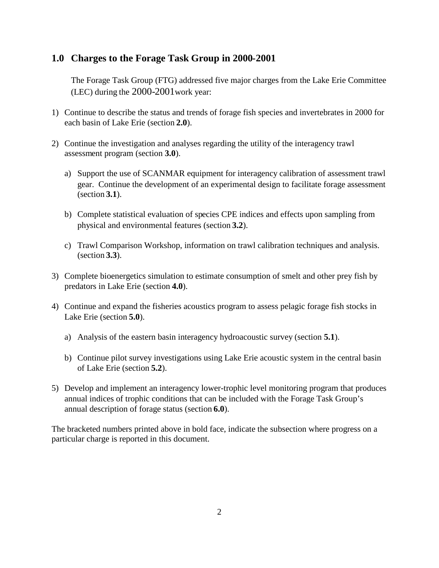## **1.0 Charges to the Forage Task Group in 2000-2001**

The Forage Task Group (FTG) addressed five major charges from the Lake Erie Committee (LEC) during the 2000-2001work year:

- 1) Continue to describe the status and trends of forage fish species and invertebrates in 2000 for each basin of Lake Erie (section **2.0**).
- 2) Continue the investigation and analyses regarding the utility of the interagency trawl assessment program (section **3.0**).
	- a) Support the use of SCANMAR equipment for interagency calibration of assessment trawl gear. Continue the development of an experimental design to facilitate forage assessment (section **3.1**).
	- b) Complete statistical evaluation of species CPE indices and effects upon sampling from physical and environmental features (section **3.2**).
	- c) Trawl Comparison Workshop, information on trawl calibration techniques and analysis. (section **3.3**).
- 3) Complete bioenergetics simulation to estimate consumption of smelt and other prey fish by predators in Lake Erie (section **4.0**).
- 4) Continue and expand the fisheries acoustics program to assess pelagic forage fish stocks in Lake Erie (section **5.0**).
	- a) Analysis of the eastern basin interagency hydroacoustic survey (section **5.1**).
	- b) Continue pilot survey investigations using Lake Erie acoustic system in the central basin of Lake Erie (section **5.2**).
- 5) Develop and implement an interagency lower-trophic level monitoring program that produces annual indices of trophic conditions that can be included with the Forage Task Group's annual description of forage status (section **6.0**).

The bracketed numbers printed above in bold face, indicate the subsection where progress on a particular charge is reported in this document.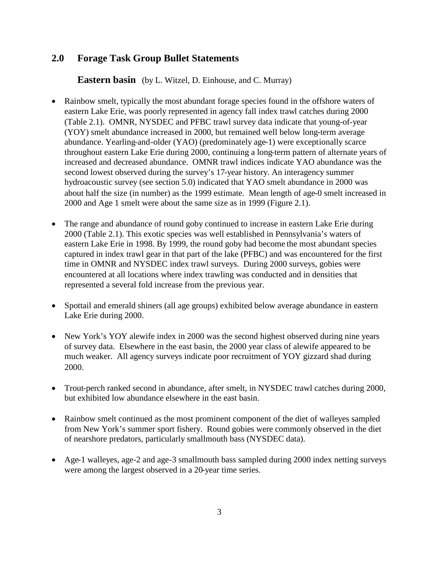# **2.0 Forage Task Group Bullet Statements**

**Eastern basin** (by L. Witzel, D. Einhouse, and C. Murray)

- Rainbow smelt, typically the most abundant forage species found in the offshore waters of eastern Lake Erie, was poorly represented in agency fall index trawl catches during 2000 (Table 2.1). OMNR, NYSDEC and PFBC trawl survey data indicate that young-of-year (YOY) smelt abundance increased in 2000, but remained well below long-term average abundance. Yearling-and-older (YAO) (predominately age-1) were exceptionally scarce throughout eastern Lake Erie during 2000, continuing a long-term pattern of alternate years of increased and decreased abundance. OMNR trawl indices indicate YAO abundance was the second lowest observed during the survey's 17-year history. An interagency summer hydroacoustic survey (see section 5.0) indicated that YAO smelt abundance in 2000 was about half the size (in number) as the 1999 estimate. Mean length of age-0 smelt increased in 2000 and Age 1 smelt were about the same size as in 1999 (Figure 2.1).
- The range and abundance of round goby continued to increase in eastern Lake Erie during 2000 (Table 2.1). This exotic species was well established in Pennsylvania's waters of eastern Lake Erie in 1998. By 1999, the round goby had become the most abundant species captured in index trawl gear in that part of the lake (PFBC) and was encountered for the first time in OMNR and NYSDEC index trawl surveys. During 2000 surveys, gobies were encountered at all locations where index trawling was conducted and in densities that represented a several fold increase from the previous year.
- Spottail and emerald shiners (all age groups) exhibited below average abundance in eastern Lake Erie during 2000.
- New York's YOY alewife index in 2000 was the second highest observed during nine years of survey data. Elsewhere in the east basin, the 2000 year class of alewife appeared to be much weaker. All agency surveys indicate poor recruitment of YOY gizzard shad during 2000.
- Trout-perch ranked second in abundance, after smelt, in NYSDEC trawl catches during 2000, but exhibited low abundance elsewhere in the east basin.
- Rainbow smelt continued as the most prominent component of the diet of walleyes sampled from New York's summer sport fishery. Round gobies were commonly observed in the diet of nearshore predators, particularly smallmouth bass (NYSDEC data).
- Age-1 walleyes, age-2 and age-3 smallmouth bass sampled during 2000 index netting surveys were among the largest observed in a 20-year time series.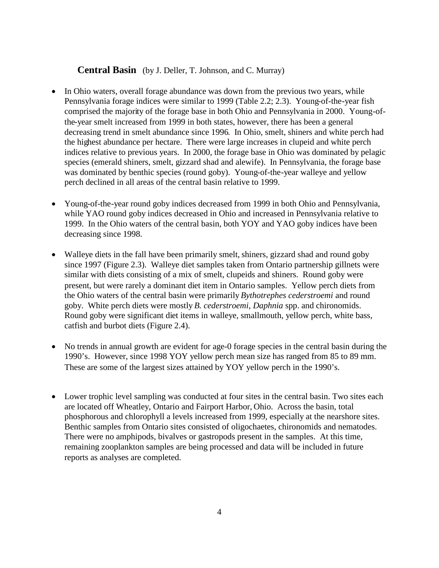### **Central Basin** (by J. Deller, T. Johnson, and C. Murray)

- In Ohio waters, overall forage abundance was down from the previous two years, while Pennsylvania forage indices were similar to 1999 (Table 2.2; 2.3). Young-of-the-year fish comprised the majority of the forage base in both Ohio and Pennsylvania in 2000. Young-ofthe-year smelt increased from 1999 in both states, however, there has been a general decreasing trend in smelt abundance since 1996. In Ohio, smelt, shiners and white perch had the highest abundance per hectare. There were large increases in clupeid and white perch indices relative to previous years. In 2000, the forage base in Ohio was dominated by pelagic species (emerald shiners, smelt, gizzard shad and alewife). In Pennsylvania, the forage base was dominated by benthic species (round goby). Young-of-the-year walleye and yellow perch declined in all areas of the central basin relative to 1999.
- Young-of-the-year round goby indices decreased from 1999 in both Ohio and Pennsylvania, while YAO round goby indices decreased in Ohio and increased in Pennsylvania relative to 1999. In the Ohio waters of the central basin, both YOY and YAO goby indices have been decreasing since 1998.
- Walleye diets in the fall have been primarily smelt, shiners, gizzard shad and round goby since 1997 (Figure 2.3). Walleye diet samples taken from Ontario partnership gillnets were similar with diets consisting of a mix of smelt, clupeids and shiners. Round goby were present, but were rarely a dominant diet item in Ontario samples. Yellow perch diets from the Ohio waters of the central basin were primarily *Bythotrephes cederstroemi* and round goby. White perch diets were mostly *B. cederstroemi*, *Daphnia* spp. and chironomids. Round goby were significant diet items in walleye, smallmouth, yellow perch, white bass, catfish and burbot diets (Figure 2.4).
- No trends in annual growth are evident for age-0 forage species in the central basin during the 1990's. However, since 1998 YOY yellow perch mean size has ranged from 85 to 89 mm. These are some of the largest sizes attained by YOY yellow perch in the 1990's.
- Lower trophic level sampling was conducted at four sites in the central basin. Two sites each are located off Wheatley, Ontario and Fairport Harbor, Ohio. Across the basin, total phosphorous and chlorophyll a levels increased from 1999, especially at the nearshore sites. Benthic samples from Ontario sites consisted of oligochaetes, chironomids and nematodes. There were no amphipods, bivalves or gastropods present in the samples. At this time, remaining zooplankton samples are being processed and data will be included in future reports as analyses are completed.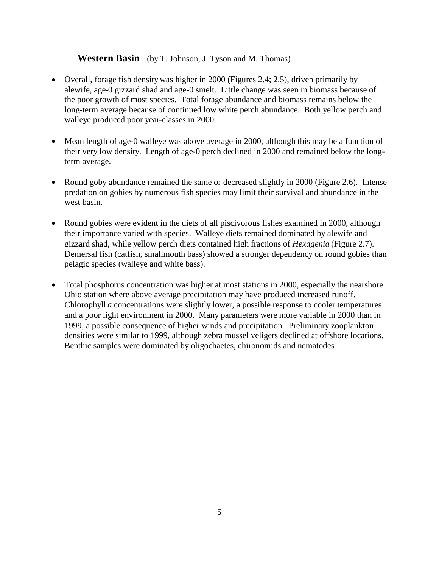### **Western Basin** (by T. Johnson, J. Tyson and M. Thomas)

- Overall, forage fish density was higher in 2000 (Figures 2.4; 2.5), driven primarily by alewife, age-0 gizzard shad and age-0 smelt. Little change was seen in biomass because of the poor growth of most species. Total forage abundance and biomass remains below the long-term average because of continued low white perch abundance. Both yellow perch and walleye produced poor year-classes in 2000.
- Mean length of age-0 walleye was above average in 2000, although this may be a function of their very low density. Length of age-0 perch declined in 2000 and remained below the longterm average.
- Round goby abundance remained the same or decreased slightly in 2000 (Figure 2.6). Intense predation on gobies by numerous fish species may limit their survival and abundance in the west basin.
- Round gobies were evident in the diets of all piscivorous fishes examined in 2000, although their importance varied with species. Walleye diets remained dominated by alewife and gizzard shad, while yellow perch diets contained high fractions of *Hexagenia* (Figure 2.7). Demersal fish (catfish, smallmouth bass) showed a stronger dependency on round gobies than pelagic species (walleye and white bass).
- Total phosphorus concentration was higher at most stations in 2000, especially the nearshore Ohio station where above average precipitation may have produced increased runoff. Chlorophyll *a* concentrations were slightly lower, a possible response to cooler temperatures and a poor light environment in 2000. Many parameters were more variable in 2000 than in 1999, a possible consequence of higher winds and precipitation. Preliminary zooplankton densities were similar to 1999, although zebra mussel veligers declined at offshore locations. Benthic samples were dominated by oligochaetes, chironomids and nematodes.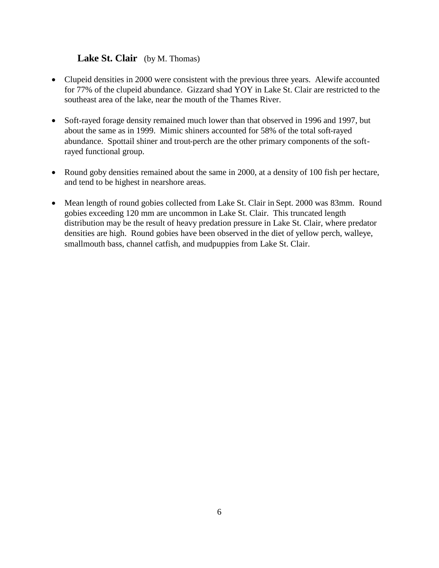## **Lake St. Clair** (by M. Thomas)

- Clupeid densities in 2000 were consistent with the previous three years. Alewife accounted for 77% of the clupeid abundance. Gizzard shad YOY in Lake St. Clair are restricted to the southeast area of the lake, near the mouth of the Thames River.
- Soft-rayed forage density remained much lower than that observed in 1996 and 1997, but about the same as in 1999. Mimic shiners accounted for 58% of the total soft-rayed abundance. Spottail shiner and trout-perch are the other primary components of the softrayed functional group.
- Round goby densities remained about the same in 2000, at a density of 100 fish per hectare, and tend to be highest in nearshore areas.
- Mean length of round gobies collected from Lake St. Clair in Sept. 2000 was 83mm. Round gobies exceeding 120 mm are uncommon in Lake St. Clair. This truncated length distribution may be the result of heavy predation pressure in Lake St. Clair, where predator densities are high. Round gobies have been observed in the diet of yellow perch, walleye, smallmouth bass, channel catfish, and mudpuppies from Lake St. Clair.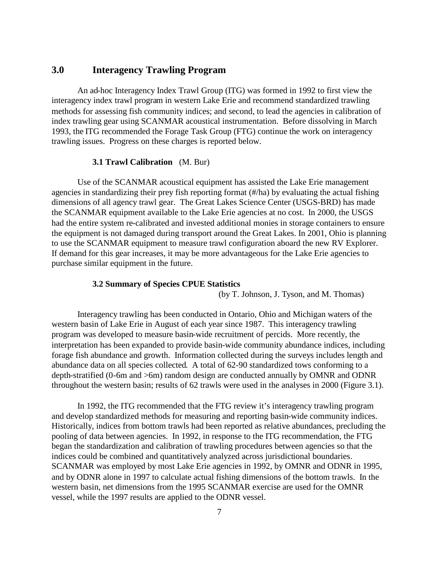### **3.0 Interagency Trawling Program**

An ad-hoc Interagency Index Trawl Group (ITG) was formed in 1992 to first view the interagency index trawl program in western Lake Erie and recommend standardized trawling methods for assessing fish community indices; and second, to lead the agencies in calibration of index trawling gear using SCANMAR acoustical instrumentation. Before dissolving in March 1993, the ITG recommended the Forage Task Group (FTG) continue the work on interagency trawling issues. Progress on these charges is reported below.

### **3.1 Trawl Calibration** (M. Bur)

Use of the SCANMAR acoustical equipment has assisted the Lake Erie management agencies in standardizing their prey fish reporting format (#/ha) by evaluating the actual fishing dimensions of all agency trawl gear. The Great Lakes Science Center (USGS-BRD) has made the SCANMAR equipment available to the Lake Erie agencies at no cost. In 2000, the USGS had the entire system re-calibrated and invested additional monies in storage containers to ensure the equipment is not damaged during transport around the Great Lakes. In 2001, Ohio is planning to use the SCANMAR equipment to measure trawl configuration aboard the new RV Explorer. If demand for this gear increases, it may be more advantageous for the Lake Erie agencies to purchase similar equipment in the future.

#### **3.2 Summary of Species CPUE Statistics**

(by T. Johnson, J. Tyson, and M. Thomas)

Interagency trawling has been conducted in Ontario, Ohio and Michigan waters of the western basin of Lake Erie in August of each year since 1987. This interagency trawling program was developed to measure basin-wide recruitment of percids. More recently, the interpretation has been expanded to provide basin-wide community abundance indices, including forage fish abundance and growth. Information collected during the surveys includes length and abundance data on all species collected. A total of 62-90 standardized tows conforming to a depth-stratified (0-6m and >6m) random design are conducted annually by OMNR and ODNR throughout the western basin; results of 62 trawls were used in the analyses in 2000 (Figure 3.1).

In 1992, the ITG recommended that the FTG review it's interagency trawling program and develop standardized methods for measuring and reporting basin-wide community indices. Historically, indices from bottom trawls had been reported as relative abundances, precluding the pooling of data between agencies. In 1992, in response to the ITG recommendation, the FTG began the standardization and calibration of trawling procedures between agencies so that the indices could be combined and quantitatively analyzed across jurisdictional boundaries. SCANMAR was employed by most Lake Erie agencies in 1992, by OMNR and ODNR in 1995, and by ODNR alone in 1997 to calculate actual fishing dimensions of the bottom trawls. In the western basin, net dimensions from the 1995 SCANMAR exercise are used for the OMNR vessel, while the 1997 results are applied to the ODNR vessel.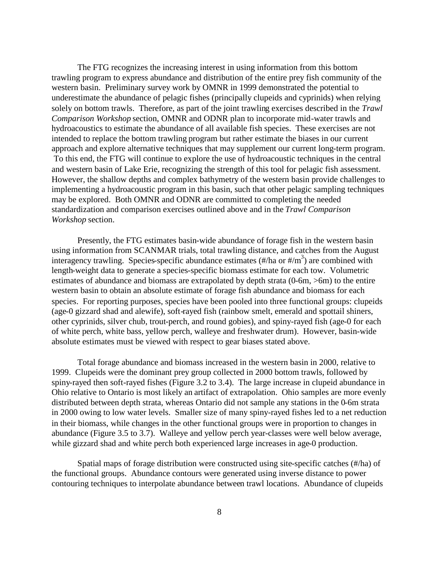The FTG recognizes the increasing interest in using information from this bottom trawling program to express abundance and distribution of the entire prey fish community of the western basin. Preliminary survey work by OMNR in 1999 demonstrated the potential to underestimate the abundance of pelagic fishes (principally clupeids and cyprinids) when relying solely on bottom trawls. Therefore, as part of the joint trawling exercises described in the *Trawl Comparison Workshop* section, OMNR and ODNR plan to incorporate mid-water trawls and hydroacoustics to estimate the abundance of all available fish species. These exercises are not intended to replace the bottom trawling program but rather estimate the biases in our current approach and explore alternative techniques that may supplement our current long-term program. To this end, the FTG will continue to explore the use of hydroacoustic techniques in the central and western basin of Lake Erie, recognizing the strength of this tool for pelagic fish assessment. However, the shallow depths and complex bathymetry of the western basin provide challenges to implementing a hydroacoustic program in this basin, such that other pelagic sampling techniques may be explored. Both OMNR and ODNR are committed to completing the needed standardization and comparison exercises outlined above and in the *Trawl Comparison Workshop* section.

Presently, the FTG estimates basin-wide abundance of forage fish in the western basin using information from SCANMAR trials, total trawling distance, and catches from the August interagency trawling. Species-specific abundance estimates  $(\frac{\#}{\text{ha}} \text{ or } \frac{\#}{\text{m}^3})$  are combined with length-weight data to generate a species-specific biomass estimate for each tow. Volumetric estimates of abundance and biomass are extrapolated by depth strata (0-6m, >6m) to the entire western basin to obtain an absolute estimate of forage fish abundance and biomass for each species. For reporting purposes, species have been pooled into three functional groups: clupeids (age-0 gizzard shad and alewife), soft-rayed fish (rainbow smelt, emerald and spottail shiners, other cyprinids, silver chub, trout-perch, and round gobies), and spiny-rayed fish (age-0 for each of white perch, white bass, yellow perch, walleye and freshwater drum). However, basin-wide absolute estimates must be viewed with respect to gear biases stated above.

Total forage abundance and biomass increased in the western basin in 2000, relative to 1999. Clupeids were the dominant prey group collected in 2000 bottom trawls, followed by spiny-rayed then soft-rayed fishes (Figure 3.2 to 3.4). The large increase in clupeid abundance in Ohio relative to Ontario is most likely an artifact of extrapolation. Ohio samples are more evenly distributed between depth strata, whereas Ontario did not sample any stations in the 0-6m strata in 2000 owing to low water levels. Smaller size of many spiny-rayed fishes led to a net reduction in their biomass, while changes in the other functional groups were in proportion to changes in abundance (Figure 3.5 to 3.7). Walleye and yellow perch year-classes were well below average, while gizzard shad and white perch both experienced large increases in age-0 production.

Spatial maps of forage distribution were constructed using site-specific catches (#/ha) of the functional groups. Abundance contours were generated using inverse distance to power contouring techniques to interpolate abundance between trawl locations. Abundance of clupeids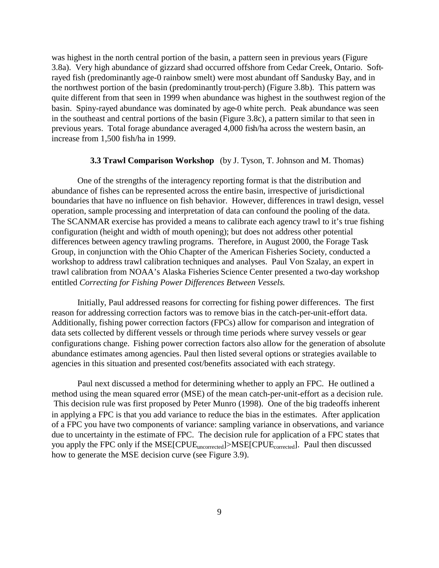was highest in the north central portion of the basin, a pattern seen in previous years (Figure 3.8a). Very high abundance of gizzard shad occurred offshore from Cedar Creek, Ontario. Softrayed fish (predominantly age-0 rainbow smelt) were most abundant off Sandusky Bay, and in the northwest portion of the basin (predominantly trout-perch) (Figure 3.8b). This pattern was quite different from that seen in 1999 when abundance was highest in the southwest region of the basin. Spiny-rayed abundance was dominated by age-0 white perch. Peak abundance was seen in the southeast and central portions of the basin (Figure 3.8c), a pattern similar to that seen in previous years. Total forage abundance averaged 4,000 fish/ha across the western basin, an increase from 1,500 fish/ha in 1999.

#### **3.3 Trawl Comparison Workshop** (by J. Tyson, T. Johnson and M. Thomas)

One of the strengths of the interagency reporting format is that the distribution and abundance of fishes can be represented across the entire basin, irrespective of jurisdictional boundaries that have no influence on fish behavior. However, differences in trawl design, vessel operation, sample processing and interpretation of data can confound the pooling of the data. The SCANMAR exercise has provided a means to calibrate each agency trawl to it's true fishing configuration (height and width of mouth opening); but does not address other potential differences between agency trawling programs. Therefore, in August 2000, the Forage Task Group, in conjunction with the Ohio Chapter of the American Fisheries Society, conducted a workshop to address trawl calibration techniques and analyses. Paul Von Szalay, an expert in trawl calibration from NOAA's Alaska Fisheries Science Center presented a two-day workshop entitled *Correcting for Fishing Power Differences Between Vessels.*

Initially, Paul addressed reasons for correcting for fishing power differences. The first reason for addressing correction factors was to remove bias in the catch-per-unit-effort data. Additionally, fishing power correction factors (FPCs) allow for comparison and integration of data sets collected by different vessels or through time periods where survey vessels or gear configurations change. Fishing power correction factors also allow for the generation of absolute abundance estimates among agencies. Paul then listed several options or strategies available to agencies in this situation and presented cost/benefits associated with each strategy.

Paul next discussed a method for determining whether to apply an FPC. He outlined a method using the mean squared error (MSE) of the mean catch-per-unit-effort as a decision rule. This decision rule was first proposed by Peter Munro (1998). One of the big tradeoffs inherent in applying a FPC is that you add variance to reduce the bias in the estimates. After application of a FPC you have two components of variance: sampling variance in observations, and variance due to uncertainty in the estimate of FPC. The decision rule for application of a FPC states that you apply the FPC only if the  $MSE[CPUE_{uncorrected}] > MSE[CPUE_{corrected}]$ . Paul then discussed how to generate the MSE decision curve (see Figure 3.9).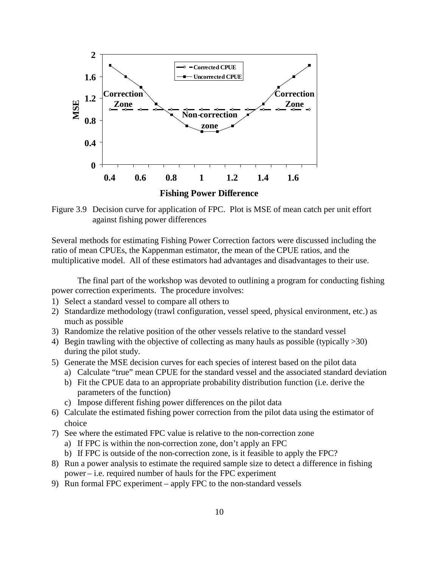

Figure 3.9 Decision curve for application of FPC. Plot is MSE of mean catch per unit effort against fishing power differences

Several methods for estimating Fishing Power Correction factors were discussed including the ratio of mean CPUEs, the Kappenman estimator, the mean of the CPUE ratios, and the multiplicative model. All of these estimators had advantages and disadvantages to their use.

The final part of the workshop was devoted to outlining a program for conducting fishing power correction experiments. The procedure involves:

- 1) Select a standard vessel to compare all others to
- 2) Standardize methodology (trawl configuration, vessel speed, physical environment, etc.) as much as possible
- 3) Randomize the relative position of the other vessels relative to the standard vessel
- 4) Begin trawling with the objective of collecting as many hauls as possible (typically >30) during the pilot study.
- 5) Generate the MSE decision curves for each species of interest based on the pilot data
	- a) Calculate "true" mean CPUE for the standard vessel and the associated standard deviation
	- b) Fit the CPUE data to an appropriate probability distribution function (i.e. derive the parameters of the function)
	- c) Impose different fishing power differences on the pilot data
- 6) Calculate the estimated fishing power correction from the pilot data using the estimator of choice
- 7) See where the estimated FPC value is relative to the non-correction zone
	- a) If FPC is within the non-correction zone, don't apply an FPC
	- b) If FPC is outside of the non-correction zone, is it feasible to apply the FPC?
- 8) Run a power analysis to estimate the required sample size to detect a difference in fishing power – i.e. required number of hauls for the FPC experiment
- 9) Run formal FPC experiment apply FPC to the non-standard vessels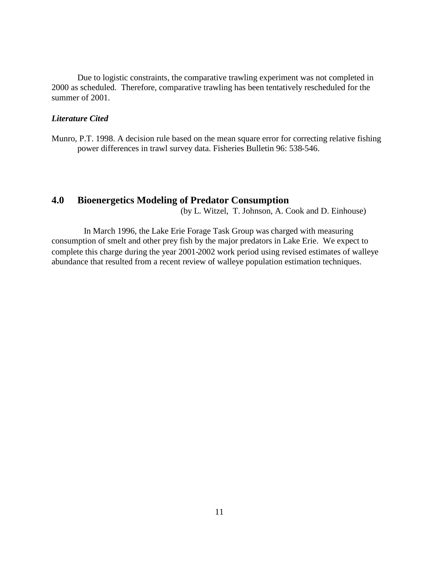Due to logistic constraints, the comparative trawling experiment was not completed in 2000 as scheduled. Therefore, comparative trawling has been tentatively rescheduled for the summer of 2001.

### *Literature Cited*

Munro, P.T. 1998. A decision rule based on the mean square error for correcting relative fishing power differences in trawl survey data. Fisheries Bulletin 96: 538-546.

## **4.0 Bioenergetics Modeling of Predator Consumption**

(by L. Witzel, T. Johnson, A. Cook and D. Einhouse)

In March 1996, the Lake Erie Forage Task Group was charged with measuring consumption of smelt and other prey fish by the major predators in Lake Erie. We expect to complete this charge during the year 2001-2002 work period using revised estimates of walleye abundance that resulted from a recent review of walleye population estimation techniques.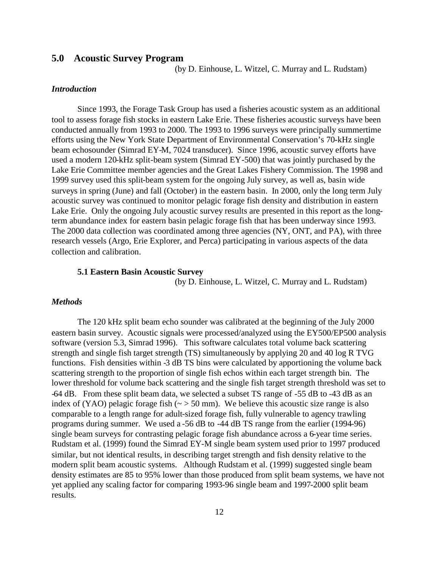### **5.0 Acoustic Survey Program**

(by D. Einhouse, L. Witzel, C. Murray and L. Rudstam)

### *Introduction*

Since 1993, the Forage Task Group has used a fisheries acoustic system as an additional tool to assess forage fish stocks in eastern Lake Erie. These fisheries acoustic surveys have been conducted annually from 1993 to 2000. The 1993 to 1996 surveys were principally summertime efforts using the New York State Department of Environmental Conservation's 70-kHz single beam echosounder (Simrad EY-M, 7024 transducer). Since 1996, acoustic survey efforts have used a modern 120-kHz split-beam system (Simrad EY-500) that was jointly purchased by the Lake Erie Committee member agencies and the Great Lakes Fishery Commission. The 1998 and 1999 survey used this split-beam system for the ongoing July survey, as well as, basin wide surveys in spring (June) and fall (October) in the eastern basin. In 2000, only the long term July acoustic survey was continued to monitor pelagic forage fish density and distribution in eastern Lake Erie. Only the ongoing July acoustic survey results are presented in this report as the longterm abundance index for eastern basin pelagic forage fish that has been underway since 1993. The 2000 data collection was coordinated among three agencies (NY, ONT, and PA), with three research vessels (Argo, Erie Explorer, and Perca) participating in various aspects of the data collection and calibration.

#### **5.1 Eastern Basin Acoustic Survey**

(by D. Einhouse, L. Witzel, C. Murray and L. Rudstam)

### *Methods*

The 120 kHz split beam echo sounder was calibrated at the beginning of the July 2000 eastern basin survey. Acoustic signals were processed/analyzed using the EY500/EP500 analysis software (version 5.3, Simrad 1996). This software calculates total volume back scattering strength and single fish target strength (TS) simultaneously by applying 20 and 40 log R TVG functions. Fish densities within -3 dB TS bins were calculated by apportioning the volume back scattering strength to the proportion of single fish echos within each target strength bin. The lower threshold for volume back scattering and the single fish target strength threshold was set to -64 dB. From these split beam data, we selected a subset TS range of -55 dB to -43 dB as an index of (YAO) pelagic forage fish  $(\sim) 50$  mm). We believe this acoustic size range is also comparable to a length range for adult-sized forage fish, fully vulnerable to agency trawling programs during summer. We used a -56 dB to -44 dB TS range from the earlier (1994-96) single beam surveys for contrasting pelagic forage fish abundance across a 6-year time series. Rudstam et al. (1999) found the Simrad EY-M single beam system used prior to 1997 produced similar, but not identical results, in describing target strength and fish density relative to the modern split beam acoustic systems. Although Rudstam et al. (1999) suggested single beam density estimates are 85 to 95% lower than those produced from split beam systems, we have not yet applied any scaling factor for comparing 1993-96 single beam and 1997-2000 split beam results.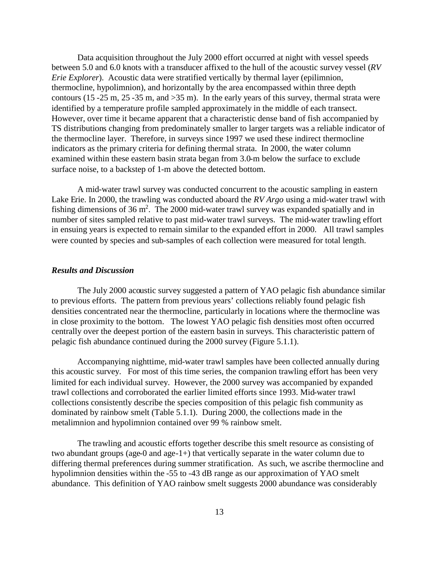Data acquisition throughout the July 2000 effort occurred at night with vessel speeds between 5.0 and 6.0 knots with a transducer affixed to the hull of the acoustic survey vessel (*RV Erie Explorer*). Acoustic data were stratified vertically by thermal layer (epilimnion, thermocline, hypolimnion), and horizontally by the area encompassed within three depth contours (15 -25 m, 25 -35 m, and >35 m). In the early years of this survey, thermal strata were identified by a temperature profile sampled approximately in the middle of each transect. However, over time it became apparent that a characteristic dense band of fish accompanied by TS distributions changing from predominately smaller to larger targets was a reliable indicator of the thermocline layer. Therefore, in surveys since 1997 we used these indirect thermocline indicators as the primary criteria for defining thermal strata. In 2000, the water column examined within these eastern basin strata began from 3.0-m below the surface to exclude surface noise, to a backstep of 1-m above the detected bottom.

A mid-water trawl survey was conducted concurrent to the acoustic sampling in eastern Lake Erie. In 2000, the trawling was conducted aboard the *RV Argo* using a mid-water trawl with fishing dimensions of 36 m<sup>2</sup>. The 2000 mid-water trawl survey was expanded spatially and in number of sites sampled relative to past mid-water trawl surveys. The mid-water trawling effort in ensuing years is expected to remain similar to the expanded effort in 2000. All trawl samples were counted by species and sub-samples of each collection were measured for total length.

### *Results and Discussion*

The July 2000 acoustic survey suggested a pattern of YAO pelagic fish abundance similar to previous efforts. The pattern from previous years' collections reliably found pelagic fish densities concentrated near the thermocline, particularly in locations where the thermocline was in close proximity to the bottom. The lowest YAO pelagic fish densities most often occurred centrally over the deepest portion of the eastern basin in surveys. This characteristic pattern of pelagic fish abundance continued during the 2000 survey (Figure 5.1.1).

Accompanying nighttime, mid-water trawl samples have been collected annually during this acoustic survey. For most of this time series, the companion trawling effort has been very limited for each individual survey. However, the 2000 survey was accompanied by expanded trawl collections and corroborated the earlier limited efforts since 1993. Mid-water trawl collections consistently describe the species composition of this pelagic fish community as dominated by rainbow smelt (Table 5.1.1). During 2000, the collections made in the metalimnion and hypolimnion contained over 99 % rainbow smelt.

The trawling and acoustic efforts together describe this smelt resource as consisting of two abundant groups (age-0 and age-1+) that vertically separate in the water column due to differing thermal preferences during summer stratification. As such, we ascribe thermocline and hypolimnion densities within the -55 to -43 dB range as our approximation of YAO smelt abundance. This definition of YAO rainbow smelt suggests 2000 abundance was considerably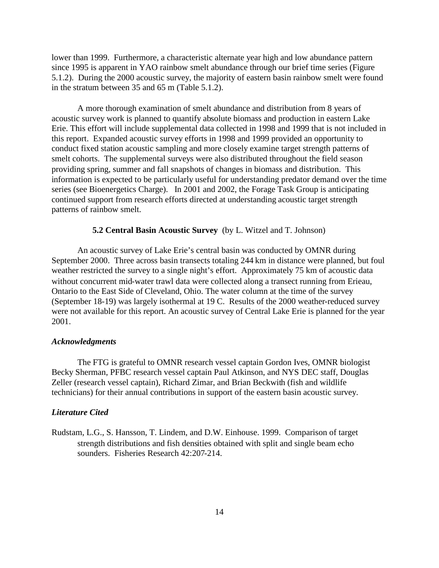lower than 1999. Furthermore, a characteristic alternate year high and low abundance pattern since 1995 is apparent in YAO rainbow smelt abundance through our brief time series (Figure 5.1.2). During the 2000 acoustic survey, the majority of eastern basin rainbow smelt were found in the stratum between 35 and 65 m (Table 5.1.2).

A more thorough examination of smelt abundance and distribution from 8 years of acoustic survey work is planned to quantify absolute biomass and production in eastern Lake Erie. This effort will include supplemental data collected in 1998 and 1999 that is not included in this report. Expanded acoustic survey efforts in 1998 and 1999 provided an opportunity to conduct fixed station acoustic sampling and more closely examine target strength patterns of smelt cohorts. The supplemental surveys were also distributed throughout the field season providing spring, summer and fall snapshots of changes in biomass and distribution. This information is expected to be particularly useful for understanding predator demand over the time series (see Bioenergetics Charge). In 2001 and 2002, the Forage Task Group is anticipating continued support from research efforts directed at understanding acoustic target strength patterns of rainbow smelt.

#### **5.2 Central Basin Acoustic Survey** (by L. Witzel and T. Johnson)

An acoustic survey of Lake Erie's central basin was conducted by OMNR during September 2000. Three across basin transects totaling 244 km in distance were planned, but foul weather restricted the survey to a single night's effort. Approximately 75 km of acoustic data without concurrent mid-water trawl data were collected along a transect running from Erieau, Ontario to the East Side of Cleveland, Ohio. The water column at the time of the survey (September 18-19) was largely isothermal at 19 C. Results of the 2000 weather-reduced survey were not available for this report. An acoustic survey of Central Lake Erie is planned for the year 2001.

#### *Acknowledgments*

The FTG is grateful to OMNR research vessel captain Gordon Ives, OMNR biologist Becky Sherman, PFBC research vessel captain Paul Atkinson, and NYS DEC staff, Douglas Zeller (research vessel captain), Richard Zimar, and Brian Beckwith (fish and wildlife technicians) for their annual contributions in support of the eastern basin acoustic survey.

#### *Literature Cited*

Rudstam, L.G., S. Hansson, T. Lindem, and D.W. Einhouse. 1999. Comparison of target strength distributions and fish densities obtained with split and single beam echo sounders. Fisheries Research 42:207-214.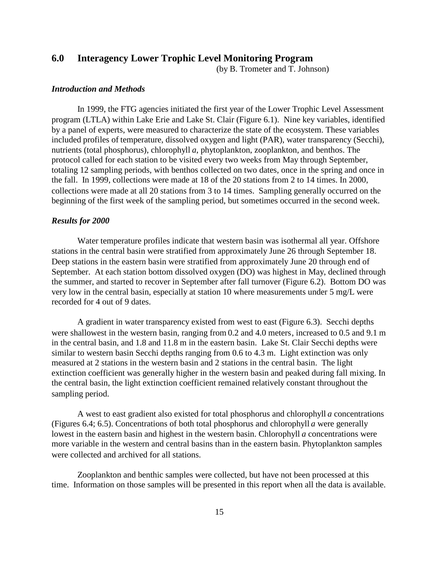### **6.0 Interagency Lower Trophic Level Monitoring Program**

(by B. Trometer and T. Johnson)

### *Introduction and Methods*

In 1999, the FTG agencies initiated the first year of the Lower Trophic Level Assessment program (LTLA) within Lake Erie and Lake St. Clair (Figure 6.1). Nine key variables, identified by a panel of experts, were measured to characterize the state of the ecosystem. These variables included profiles of temperature, dissolved oxygen and light (PAR), water transparency (Secchi), nutrients (total phosphorus), chlorophyll *a*, phytoplankton, zooplankton, and benthos. The protocol called for each station to be visited every two weeks from May through September, totaling 12 sampling periods, with benthos collected on two dates, once in the spring and once in the fall. In 1999, collections were made at 18 of the 20 stations from 2 to 14 times. In 2000, collections were made at all 20 stations from 3 to 14 times. Sampling generally occurred on the beginning of the first week of the sampling period, but sometimes occurred in the second week.

### *Results for 2000*

Water temperature profiles indicate that western basin was isothermal all year. Offshore stations in the central basin were stratified from approximately June 26 through September 18. Deep stations in the eastern basin were stratified from approximately June 20 through end of September. At each station bottom dissolved oxygen (DO) was highest in May, declined through the summer, and started to recover in September after fall turnover (Figure 6.2). Bottom DO was very low in the central basin, especially at station 10 where measurements under 5 mg/L were recorded for 4 out of 9 dates.

A gradient in water transparency existed from west to east (Figure 6.3). Secchi depths were shallowest in the western basin, ranging from 0.2 and 4.0 meters, increased to 0.5 and 9.1 m in the central basin, and 1.8 and 11.8 m in the eastern basin. Lake St. Clair Secchi depths were similar to western basin Secchi depths ranging from 0.6 to 4.3 m. Light extinction was only measured at 2 stations in the western basin and 2 stations in the central basin. The light extinction coefficient was generally higher in the western basin and peaked during fall mixing. In the central basin, the light extinction coefficient remained relatively constant throughout the sampling period.

A west to east gradient also existed for total phosphorus and chlorophyll *a* concentrations (Figures 6.4; 6.5). Concentrations of both total phosphorus and chlorophyll *a* were generally lowest in the eastern basin and highest in the western basin. Chlorophyll *a* concentrations were more variable in the western and central basins than in the eastern basin. Phytoplankton samples were collected and archived for all stations.

Zooplankton and benthic samples were collected, but have not been processed at this time. Information on those samples will be presented in this report when all the data is available.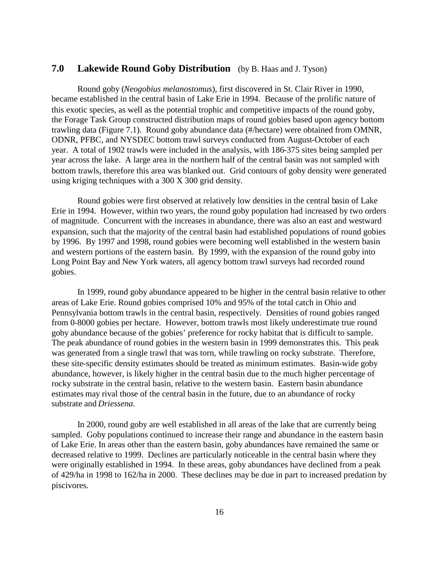## **7.0 Lakewide Round Goby Distribution** (by B. Haas and J. Tyson)

Round goby (*Neogobius melanostomus*), first discovered in St. Clair River in 1990, became established in the central basin of Lake Erie in 1994. Because of the prolific nature of this exotic species, as well as the potential trophic and competitive impacts of the round goby, the Forage Task Group constructed distribution maps of round gobies based upon agency bottom trawling data (Figure 7.1). Round goby abundance data (#/hectare) were obtained from OMNR, ODNR, PFBC, and NYSDEC bottom trawl surveys conducted from August-October of each year. A total of 1902 trawls were included in the analysis, with 186-375 sites being sampled per year across the lake. A large area in the northern half of the central basin was not sampled with bottom trawls, therefore this area was blanked out. Grid contours of goby density were generated using kriging techniques with a 300 X 300 grid density.

Round gobies were first observed at relatively low densities in the central basin of Lake Erie in 1994. However, within two years, the round goby population had increased by two orders of magnitude. Concurrent with the increases in abundance, there was also an east and westward expansion, such that the majority of the central basin had established populations of round gobies by 1996. By 1997 and 1998, round gobies were becoming well established in the western basin and western portions of the eastern basin. By 1999, with the expansion of the round goby into Long Point Bay and New York waters, all agency bottom trawl surveys had recorded round gobies.

In 1999, round goby abundance appeared to be higher in the central basin relative to other areas of Lake Erie. Round gobies comprised 10% and 95% of the total catch in Ohio and Pennsylvania bottom trawls in the central basin, respectively. Densities of round gobies ranged from 0-8000 gobies per hectare. However, bottom trawls most likely underestimate true round goby abundance because of the gobies' preference for rocky habitat that is difficult to sample. The peak abundance of round gobies in the western basin in 1999 demonstrates this. This peak was generated from a single trawl that was torn, while trawling on rocky substrate. Therefore, these site-specific density estimates should be treated as minimum estimates. Basin-wide goby abundance, however, is likely higher in the central basin due to the much higher percentage of rocky substrate in the central basin, relative to the western basin. Eastern basin abundance estimates may rival those of the central basin in the future, due to an abundance of rocky substrate and *Driessena.*

In 2000, round goby are well established in all areas of the lake that are currently being sampled. Goby populations continued to increase their range and abundance in the eastern basin of Lake Erie. In areas other than the eastern basin, goby abundances have remained the same or decreased relative to 1999. Declines are particularly noticeable in the central basin where they were originally established in 1994. In these areas, goby abundances have declined from a peak of 429/ha in 1998 to 162/ha in 2000. These declines may be due in part to increased predation by piscivores.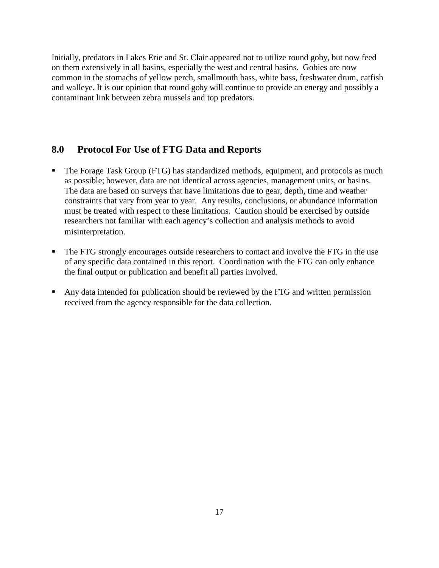Initially, predators in Lakes Erie and St. Clair appeared not to utilize round goby, but now feed on them extensively in all basins, especially the west and central basins. Gobies are now common in the stomachs of yellow perch, smallmouth bass, white bass, freshwater drum, catfish and walleye. It is our opinion that round goby will continue to provide an energy and possibly a contaminant link between zebra mussels and top predators.

### **8.0 Protocol For Use of FTG Data and Reports**

- The Forage Task Group (FTG) has standardized methods, equipment, and protocols as much as possible; however, data are not identical across agencies, management units, or basins. The data are based on surveys that have limitations due to gear, depth, time and weather constraints that vary from year to year. Any results, conclusions, or abundance information must be treated with respect to these limitations. Caution should be exercised by outside researchers not familiar with each agency's collection and analysis methods to avoid misinterpretation.
- The FTG strongly encourages outside researchers to contact and involve the FTG in the use of any specific data contained in this report. Coordination with the FTG can only enhance the final output or publication and benefit all parties involved.
- Any data intended for publication should be reviewed by the FTG and written permission received from the agency responsible for the data collection.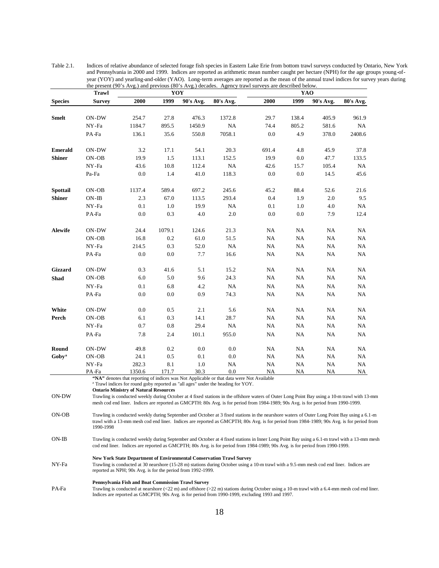|                   | <b>Trawl</b>  |                                                             | YOY     |           |                                                                                                                                                                                                                                                                                                                                                                                                                                                                                      | the present (90's Avg.) and previous (80's Avg.) decades. Agency trawl surveys are described below.<br>YAO |           |           |           |  |
|-------------------|---------------|-------------------------------------------------------------|---------|-----------|--------------------------------------------------------------------------------------------------------------------------------------------------------------------------------------------------------------------------------------------------------------------------------------------------------------------------------------------------------------------------------------------------------------------------------------------------------------------------------------|------------------------------------------------------------------------------------------------------------|-----------|-----------|-----------|--|
| <b>Species</b>    | <b>Survey</b> | 2000                                                        | 1999    | 90's Avg. | 80's Avg.                                                                                                                                                                                                                                                                                                                                                                                                                                                                            | 2000                                                                                                       | 1999      | 90's Avg. | 80's Avg. |  |
|                   |               |                                                             |         |           |                                                                                                                                                                                                                                                                                                                                                                                                                                                                                      |                                                                                                            |           |           |           |  |
| <b>Smelt</b>      | ON-DW         | 254.7                                                       | 27.8    | 476.3     | 1372.8                                                                                                                                                                                                                                                                                                                                                                                                                                                                               | 29.7                                                                                                       | 138.4     | 405.9     | 961.9     |  |
|                   | NY-Fa         | 1184.7                                                      | 895.5   | 1450.9    | NA                                                                                                                                                                                                                                                                                                                                                                                                                                                                                   | 74.4                                                                                                       | 805.2     | 581.6     | NA        |  |
|                   | PA-Fa         | 136.1                                                       | 35.6    | 550.8     | 7058.1                                                                                                                                                                                                                                                                                                                                                                                                                                                                               | 0.0                                                                                                        | 4.9       | 378.0     | 2408.6    |  |
| <b>Emerald</b>    | ON-DW         | 3.2                                                         | 17.1    | 54.1      | 20.3                                                                                                                                                                                                                                                                                                                                                                                                                                                                                 | 691.4                                                                                                      | 4.8       | 45.9      | 37.8      |  |
| <b>Shiner</b>     | ON-OB         | 19.9                                                        | 1.5     | 113.1     | 152.5                                                                                                                                                                                                                                                                                                                                                                                                                                                                                | 19.9                                                                                                       | 0.0       | 47.7      | 133.5     |  |
|                   | NY-Fa         | 43.6                                                        | 10.8    | 112.4     | NA                                                                                                                                                                                                                                                                                                                                                                                                                                                                                   | 42.6                                                                                                       | 15.7      | 105.4     | NA        |  |
|                   | Pa-Fa         | 0.0                                                         | 1.4     | 41.0      | 118.3                                                                                                                                                                                                                                                                                                                                                                                                                                                                                | 0.0                                                                                                        | 0.0       | 14.5      | 45.6      |  |
| <b>Spottail</b>   | $ON-OB$       | 1137.4                                                      | 589.4   | 697.2     | 245.6                                                                                                                                                                                                                                                                                                                                                                                                                                                                                | 45.2                                                                                                       | 88.4      | 52.6      | 21.6      |  |
| <b>Shiner</b>     | $ON-IB$       | 2.3                                                         | 67.0    | 113.5     | 293.4                                                                                                                                                                                                                                                                                                                                                                                                                                                                                | 0.4                                                                                                        | 1.9       | 2.0       | 9.5       |  |
|                   | NY-Fa         | 0.1                                                         | 1.0     | 19.9      | NA                                                                                                                                                                                                                                                                                                                                                                                                                                                                                   | 0.1                                                                                                        | 1.0       | 4.0       | NA        |  |
|                   | PA-Fa         | 0.0                                                         | 0.3     | 4.0       | 2.0                                                                                                                                                                                                                                                                                                                                                                                                                                                                                  | 0.0                                                                                                        | 0.0       | 7.9       | 12.4      |  |
| <b>Alewife</b>    | ON-DW         | 24.4                                                        | 1079.1  | 124.6     | 21.3                                                                                                                                                                                                                                                                                                                                                                                                                                                                                 | NA                                                                                                         | NA        | NA        | NA        |  |
|                   | $ON-OB$       | 16.8                                                        | 0.2     | 61.0      | 51.5                                                                                                                                                                                                                                                                                                                                                                                                                                                                                 | NA                                                                                                         | NA.       | NA        | NA        |  |
|                   | NY-Fa         | 214.5                                                       | 0.3     | 52.0      | NA.                                                                                                                                                                                                                                                                                                                                                                                                                                                                                  | NA                                                                                                         | NA        | NA        | NA        |  |
|                   | PA-Fa         | 0.0                                                         | 0.0     | 7.7       | 16.6                                                                                                                                                                                                                                                                                                                                                                                                                                                                                 | NA                                                                                                         | NA.       | NA        | NA        |  |
| Gizzard           | ON-DW         | 0.3                                                         | 41.6    | 5.1       | 15.2                                                                                                                                                                                                                                                                                                                                                                                                                                                                                 | NA                                                                                                         | NA        | NA        | NA        |  |
| Shad              | ON-OB         | 6.0                                                         | 5.0     | 9.6       | 24.3                                                                                                                                                                                                                                                                                                                                                                                                                                                                                 | NA                                                                                                         | NA        | NA        | NA        |  |
|                   | NY-Fa         | 0.1                                                         | 6.8     | 4.2       | NA                                                                                                                                                                                                                                                                                                                                                                                                                                                                                   | NA                                                                                                         | NA        | NA        | NA        |  |
|                   | PA-Fa         | 0.0                                                         | 0.0     | 0.9       | 74.3                                                                                                                                                                                                                                                                                                                                                                                                                                                                                 | NA                                                                                                         | NA.       | NA        | NA        |  |
| White             | ON-DW         | 0.0                                                         | $0.5\,$ | 2.1       | 5.6                                                                                                                                                                                                                                                                                                                                                                                                                                                                                  | NA                                                                                                         | NA        | NA        | NA        |  |
| Perch             | ON-OB         | 6.1                                                         | 0.3     | 14.1      | 28.7                                                                                                                                                                                                                                                                                                                                                                                                                                                                                 | NA                                                                                                         | NA        | NA        | NA        |  |
|                   | NY-Fa         | 0.7                                                         | 0.8     | 29.4      | NA                                                                                                                                                                                                                                                                                                                                                                                                                                                                                   | NA                                                                                                         | NA        | NA        | NA        |  |
|                   | PA-Fa         | 7.8                                                         | 2.4     | 101.1     | 955.0                                                                                                                                                                                                                                                                                                                                                                                                                                                                                | NA                                                                                                         | NA        | NA        | NA        |  |
| Round             | ON-DW         | 49.8                                                        | 0.2     | 0.0       | 0.0                                                                                                                                                                                                                                                                                                                                                                                                                                                                                  | NA                                                                                                         | NA        | NA        | NA        |  |
| Goby <sup>a</sup> | ON-OB         | 24.1                                                        | $0.5\,$ | 0.1       | 0.0                                                                                                                                                                                                                                                                                                                                                                                                                                                                                  | NA                                                                                                         | NA        | NA        | NA        |  |
|                   | NY-Fa         | 282.3                                                       | 8.1     | 1.0       | NA                                                                                                                                                                                                                                                                                                                                                                                                                                                                                   | NA                                                                                                         | NA        | NA        | NA        |  |
| ON-DW             | PA-Fa         | 1350.6<br><b>Ontario Ministry of Natural Resources</b>      | 171.7   | 30.3      | 0.0<br>"NA" denotes that reporting of indices was Not Applicable or that data were Not Available<br><sup>a</sup> Trawl indices for round goby reported as "all ages" under the heading for YOY.<br>Trawling is conducted weekly during October at 4 fixed stations in the offshore waters of Outer Long Point Bay using a 10-m trawl with 13-mm<br>mesh cod end liner. Indices are reported as GMCPTH: 80s Avg. is for period from 1984-1989; 90s Avg. is for period from 1990-1999. | NA                                                                                                         | <b>NA</b> | <b>NA</b> | NA        |  |
| ON-OB             | 1990-1998     |                                                             |         |           | Trawling is conducted weekly during September and October at 3 fixed stations in the nearshore waters of Outer Long Point Bay using a 6.1-m<br>trawl with a 13-mm mesh cod end liner. Indices are reported as GMCPTH; 80s Avg. is for period from 1984-1989; 90s Avg. is for period from                                                                                                                                                                                             |                                                                                                            |           |           |           |  |
| ON-IB             |               |                                                             |         |           | Trawling is conducted weekly during September and October at 4 fixed stations in Inner Long Point Bay using a 6.1-m trawl with a 13-mm mesh<br>cod end liner. Indices are reported as GMCPTH; 80s Avg. is for period from 1984-1989; 90s Avg. is for period from 1990-1999.                                                                                                                                                                                                          |                                                                                                            |           |           |           |  |
| NY-Fa             |               | reported as NPH; 90s Avg. is for the period from 1992-1999. |         |           | New York State Department of Environmental Conservation Trawl Survey<br>Trawling is conducted at 30 nearshore (15-28 m) stations during October using a 10-m trawl with a 9.5-mm mesh cod end liner. Indices are                                                                                                                                                                                                                                                                     |                                                                                                            |           |           |           |  |
| PA-Fa             |               | Pennsylvania Fish and Boat Commission Trawl Survey          |         |           | Trawling is conducted at nearshore $(<22 \text{ m})$ and offshore $(>22 \text{ m})$ stations during October using a 10-m trawl with a 6.4-mm mesh cod end liner.<br>Indices are reported as GMCPTH; 90s Avg. is for period from 1990-1999, excluding 1993 and 1997.                                                                                                                                                                                                                  |                                                                                                            |           |           |           |  |

Table 2.1. Indices of relative abundance of selected forage fish species in Eastern Lake Erie from bottom trawl surveys conducted by Ontario, New York and Pennsylvania in 2000 and 1999. Indices are reported as arithmetic mean number caught per hectare (NPH) for the age groups young-ofyear (YOY) and yearling-and-older (YAO). Long-term averages are reported as the mean of the annual trawl indices for survey years during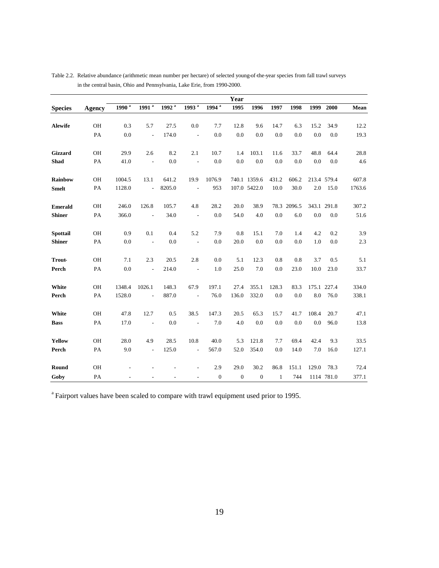|                |               |                   |                          |            |                          |                   | Year         |                  |              |             |       |             |        |
|----------------|---------------|-------------------|--------------------------|------------|--------------------------|-------------------|--------------|------------------|--------------|-------------|-------|-------------|--------|
| <b>Species</b> | Agency        | 1990 <sup>a</sup> | $1991^{a}$               | $1992^{a}$ | $1993^{a}$               | 1994 <sup>a</sup> | 1995         | 1996             | 1997         | 1998        | 1999  | 2000        | Mean   |
| Alewife        | OH            |                   | 5.7                      | 27.5       |                          | 7.7               | 12.8         | 9.6              | 14.7         | 6.3         | 15.2  | 34.9        | 12.2   |
|                |               | 0.3               |                          |            | 0.0                      |                   |              |                  |              |             |       |             |        |
|                | PA            | 0.0               | L,                       | 174.0      | $\overline{\phantom{a}}$ | 0.0               | 0.0          | 0.0              | 0.0          | 0.0         | 0.0   | 0.0         | 19.3   |
| Gizzard        | OH            | 29.9              | 2.6                      | 8.2        | 2.1                      | 10.7              | 1.4          | 103.1            | 11.6         | 33.7        | 48.8  | 64.4        | 28.8   |
| Shad           | PA            | 41.0              | $\overline{\phantom{a}}$ | 0.0        | $\overline{\phantom{a}}$ | 0.0               | 0.0          | 0.0              | 0.0          | 0.0         | 0.0   | 0.0         | 4.6    |
| <b>Rainbow</b> | OH            | 1004.5            | 13.1                     | 641.2      | 19.9                     | 1076.9            |              | 740.1 1359.6     | 431.2        | 606.2       |       | 213.4 579.4 | 607.8  |
| <b>Smelt</b>   | PA            | 1128.0            | $\frac{1}{2}$            | 8205.0     | $\overline{\phantom{a}}$ | 953               |              | 107.0 5422.0     | 10.0         | 30.0        | 2.0   | 15.0        | 1763.6 |
| <b>Emerald</b> | <b>OH</b>     | 246.0             | 126.8                    | 105.7      | 4.8                      | 28.2              | 20.0         | 38.9             |              | 78.3 2096.5 |       | 343.1 291.8 | 307.2  |
| <b>Shiner</b>  | PA            | 366.0             | $\overline{a}$           | 34.0       | $\overline{\phantom{a}}$ | 0.0               | 54.0         | 4.0              | 0.0          | 6.0         | 0.0   | 0.0         | 51.6   |
| Spottail       | OH            | 0.9               | 0.1                      | 0.4        | 5.2                      | 7.9               | 0.8          | 15.1             | 7.0          | 1.4         | 4.2   | 0.2         | 3.9    |
| <b>Shiner</b>  | PA            | 0.0               | $\overline{\phantom{a}}$ | 0.0        | $\overline{\phantom{a}}$ | 0.0               | 20.0         | 0.0              | 0.0          | 0.0         | 1.0   | 0.0         | 2.3    |
| <b>Trout-</b>  | OH            | 7.1               | 2.3                      | 20.5       | 2.8                      | 0.0               | 5.1          | 12.3             | 0.8          | 0.8         | 3.7   | 0.5         | 5.1    |
| Perch          | $\mathbf{PA}$ | 0.0               | $\overline{a}$           | 214.0      | $\overline{\phantom{a}}$ | 1.0               | 25.0         | 7.0              | 0.0          | 23.0        | 10.0  | 23.0        | 33.7   |
| White          | OH            | 1348.4            | 1026.1                   | 148.3      | 67.9                     | 197.1             | 27.4         | 355.1            | 128.3        | 83.3        |       | 175.1 227.4 | 334.0  |
| Perch          | PA            | 1528.0            | $\overline{a}$           | 887.0      | $\overline{\phantom{a}}$ | 76.0              | 136.0        | 332.0            | 0.0          | 0.0         | 8.0   | 76.0        | 338.1  |
| White          | OH            | 47.8              | 12.7                     | 0.5        | 38.5                     | 147.3             | 20.5         | 65.3             | 15.7         | 41.7        | 108.4 | 20.7        | 47.1   |
| <b>Bass</b>    | PA            | 17.0              | $\overline{a}$           | 0.0        | $\overline{\phantom{a}}$ | 7.0               | 4.0          | 0.0              | 0.0          | 0.0         | 0.0   | 96.0        | 13.8   |
| Yellow         | OH            | 28.0              | 4.9                      | 28.5       | 10.8                     | 40.0              | 5.3          | 121.8            | 7.7          | 69.4        | 42.4  | 9.3         | 33.5   |
| Perch          | PA            | 9.0               | $\overline{a}$           | 125.0      | $\overline{\phantom{a}}$ | 567.0             | 52.0         | 354.0            | 0.0          | 14.0        | 7.0   | 16.0        | 127.1  |
|                |               |                   |                          |            |                          |                   |              |                  |              |             |       |             |        |
| Round          | OH            |                   |                          |            |                          | 2.9               | 29.0         | 30.2             | 86.8         | 151.1       | 129.0 | 78.3        | 72.4   |
| Goby           | PA            |                   |                          |            |                          | $\boldsymbol{0}$  | $\mathbf{0}$ | $\boldsymbol{0}$ | $\mathbf{1}$ | 744         |       | 1114 781.0  | 377.1  |

Table 2.2. Relative abundance (arithmetic mean number per hectare) of selected young-of-the-year species from fall trawl surveys in the central basin, Ohio and Pennsylvania, Lake Erie, from 1990-2000.

<sup>a</sup> Fairport values have been scaled to compare with trawl equipment used prior to 1995.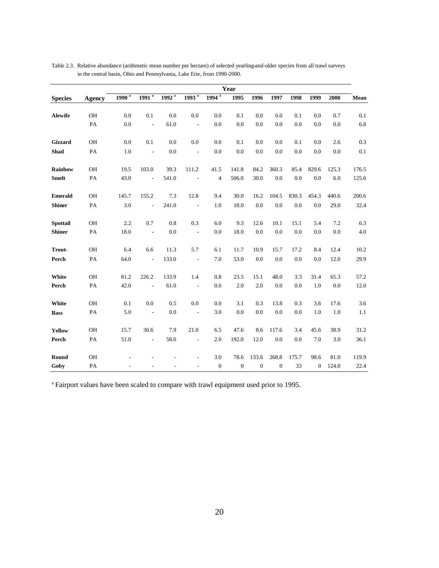|                |               | Year              |                          |                   |                          |                  |                  |                  |                  |       |                  |         |       |
|----------------|---------------|-------------------|--------------------------|-------------------|--------------------------|------------------|------------------|------------------|------------------|-------|------------------|---------|-------|
| <b>Species</b> | <b>Agency</b> | 1990 <sup>a</sup> | $1991^{a}$               | 1992 <sup>a</sup> | 1993 <sup>a</sup>        | $1994^{a}$       | 1995             | 1996             | 1997             | 1998  | 1999             | 2000    | Mean  |
| Alewife        | OH            | 0.0               | 0.1                      | 0.0               | 0.0                      | 0.0              | 0.1              | 0.0              | 0.0              | 0.1   | 0.0              | 0.7     | 0.1   |
|                | PA            | 0.0               | $\overline{a}$           | 61.0              | $\overline{\phantom{a}}$ | 0.0              | 0.0              | 0.0              | 0.0              | 0.0   | 0.0              | 0.0     | 6.8   |
| Gizzard        | OH            | 0.0               | 0.1                      | 0.0               | 0.0                      | 0.0              | 0.1              | 0.0              | 0.0              | 0.1   | 0.0              | 2.6     | 0.3   |
| <b>Shad</b>    | PA            | 1.0               | $\overline{\phantom{a}}$ | 0.0               | $\overline{\phantom{a}}$ | 0.0              | 0.0              | 0.0              | 0.0              | 0.0   | 0.0              | 0.0     | 0.1   |
| Rainbow        | OH            | 19.5              | 103.0                    | 39.3              | 111.2                    | 41.5             | 141.8            | 84.2             | 360.3            | 85.4  | 829.6            | 125.3   | 176.5 |
| <b>Smelt</b>   | PA            | 43.0              | $\overline{a}$           | 541.0             | $\overline{\phantom{a}}$ | $\overline{4}$   | 506.0            | 30.0             | 0.0              | 0.0   | 0.0              | 6.0     | 125.6 |
| <b>Emerald</b> | <b>OH</b>     | 145.7             | 155.2                    | 7.3               | 12.8                     | 9.4              | 30.0             | 16.2             | 104.5            | 830.3 | 454.3            | 440.6   | 200.6 |
| <b>Shiner</b>  | PA            | 3.0               | $\overline{\phantom{a}}$ | 241.0             | $\overline{\phantom{a}}$ | 1.0              | 18.0             | 0.0              | 0.0              | 0.0   | 0.0              | 29.0    | 32.4  |
| Spottail       | OH            | 2.2               | 0.7                      | 0.8               | 0.3                      | 6.0              | 9.3              | 12.6             | 10.1             | 15.1  | 5.4              | 7.2     | 6.3   |
| <b>Shiner</b>  | PA            | 18.0              | $\overline{\phantom{a}}$ | 0.0               | $\overline{\phantom{a}}$ | 0.0              | 18.0             | 0.0              | 0.0              | 0.0   | 0.0              | 0.0     | 4.0   |
| <b>Trout-</b>  | OH            | 6.4               | 6.6                      | 11.3              | 5.7                      | 6.1              | 11.7             | 10.9             | 15.7             | 17.2  | 8.4              | 12.4    | 10.2  |
| Perch          | PA            | 64.0              | $\overline{\phantom{a}}$ | 133.0             | $\overline{\phantom{a}}$ | 7.0              | 53.0             | 0.0              | 0.0              | 0.0   | 0.0              | 12.0    | 29.9  |
| White          | OH            | 81.2              | 226.2                    | 133.9             | 1.4                      | 0.8              | 23.5             | 15.1             | 48.0             | 3.3   | 31.4             | 65.3    | 57.2  |
| Perch          | PA            | 42.0              | $\overline{\phantom{a}}$ | 61.0              | $\overline{\phantom{a}}$ | 0.0              | 2.0              | 2.0              | 0.0              | 0.0   | 1.0              | 0.0     | 12.0  |
| White          | OH            | 0.1               | 0.0                      | 0.5               | 0.0                      | 0.0              | 3.1              | 0.3              | 13.8             | 0.3   | 3.6              | 17.6    | 3.6   |
| <b>Bass</b>    | PA            | 5.0               | $\sim$                   | 0.0               | $\overline{\phantom{a}}$ | 3.0              | 0.0              | 0.0              | 0.0              | 0.0   | 1.0              | $1.0\,$ | 1.1   |
| Yellow         | OH            | 15.7              | 30.6                     | 7.9               | 21.0                     | 6.5              | 47.6             | 8.6              | 117.6            | 3.4   | 45.6             | 38.9    | 31.2  |
| Perch          | PA            | 51.0              | $\overline{\phantom{a}}$ | 58.0              | $\overline{\phantom{a}}$ | 2.0              | 192.0            | 12.0             | 0.0              | 0.0   | 7.0              | 3.0     | 36.1  |
| Round          | OH            |                   |                          |                   |                          | 3.0              | 78.6             | 133.6            | 268.8            | 175.7 | 98.6             | 81.0    | 119.9 |
| Goby           | PA            |                   |                          |                   | $\overline{\phantom{a}}$ | $\boldsymbol{0}$ | $\boldsymbol{0}$ | $\boldsymbol{0}$ | $\boldsymbol{0}$ | 33    | $\boldsymbol{0}$ | 124.0   | 22.4  |

Table 2.3. Relative abundance (arithmetic mean number per hectare) of selected yearling-and-older species from all trawl surveys in the central basin, Ohio and Pennsylvania, Lake Erie, from 1990-2000.

<sup>a</sup> Fairport values have been scaled to compare with trawl equipment used prior to 1995.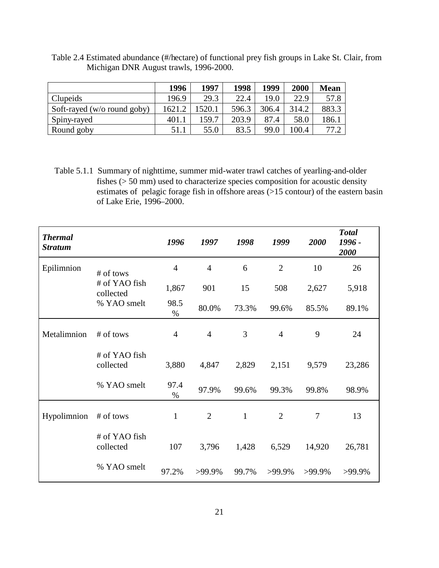Table 2.4 Estimated abundance (#/hectare) of functional prey fish groups in Lake St. Clair, from Michigan DNR August trawls, 1996-2000.

|                                | 1996   | 1997  | 1998  | 1999  | 2000  | <b>Mean</b> |
|--------------------------------|--------|-------|-------|-------|-------|-------------|
| <b>Clupeids</b>                | 196.9  | 29.3  | 22.4  | 19.0  | 22.9  | 57.8        |
| Soft-rayed ( $w/o$ round goby) | 1621.2 | 520.1 | 596.3 | 306.4 | 314.2 | 883.3       |
| Spiny-rayed                    | 401.1  | 159.7 | 203.9 | 87.4  | 58.0  | 186.1       |
| Round goby                     | 51.1   | 55.0  | 83.5  | 99.0  | 100.4 | 77 7        |

Table 5.1.1 Summary of nighttime, summer mid-water trawl catches of yearling-and-older fishes (> 50 mm) used to characterize species composition for acoustic density estimates of pelagic forage fish in offshore areas (>15 contour) of the eastern basin of Lake Erie, 1996–2000.

| <b>Thermal</b><br><b>Stratum</b> |                            | 1996           | 1997           | 1998         | 1999           | 2000           | <b>Total</b><br>1996 -<br>2000 |
|----------------------------------|----------------------------|----------------|----------------|--------------|----------------|----------------|--------------------------------|
| Epilimnion                       | # of tows                  | $\overline{4}$ | $\overline{4}$ | 6            | $\overline{2}$ | 10             | 26                             |
|                                  | # of YAO fish<br>collected | 1,867          | 901            | 15           | 508            | 2,627          | 5,918                          |
|                                  | % YAO smelt                | 98.5<br>$\%$   | 80.0%          | 73.3%        | 99.6%          | 85.5%          | 89.1%                          |
| Metalimnion                      | # of tows                  | $\overline{4}$ | $\overline{4}$ | 3            | $\overline{4}$ | 9              | 24                             |
|                                  | # of YAO fish<br>collected | 3,880          | 4,847          | 2,829        | 2,151          | 9,579          | 23,286                         |
|                                  | % YAO smelt                | 97.4<br>%      | 97.9%          | 99.6%        | 99.3%          | 99.8%          | 98.9%                          |
| Hypolimnion                      | # of tows                  | $\mathbf{1}$   | $\overline{2}$ | $\mathbf{1}$ | $\overline{2}$ | $\overline{7}$ | 13                             |
|                                  | # of YAO fish<br>collected | 107            | 3,796          | 1,428        | 6,529          | 14,920         | 26,781                         |
|                                  | % YAO smelt                | 97.2%          | >99.9%         | 99.7%        | >99.9%         | >99.9%         | >99.9%                         |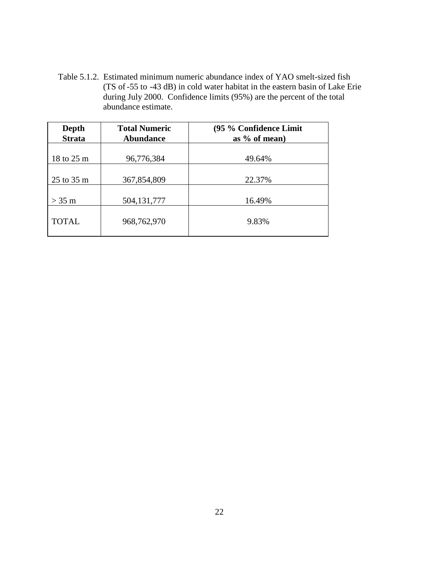Table 5.1.2. Estimated minimum numeric abundance index of YAO smelt-sized fish (TS of -55 to -43 dB) in cold water habitat in the eastern basin of Lake Erie during July 2000. Confidence limits (95%) are the percent of the total abundance estimate.

| Depth<br><b>Strata</b> | <b>Total Numeric</b><br><b>Abundance</b> | (95 % Confidence Limit<br>as $%$ of mean) |
|------------------------|------------------------------------------|-------------------------------------------|
| 18 to 25 m             | 96,776,384                               | 49.64%                                    |
| 25 to 35 m             | 367,854,809                              | 22.37%                                    |
| $>$ 35 m               | 504, 131, 777                            | 16.49%                                    |
| <b>TOTAL</b>           | 968,762,970                              | 9.83%                                     |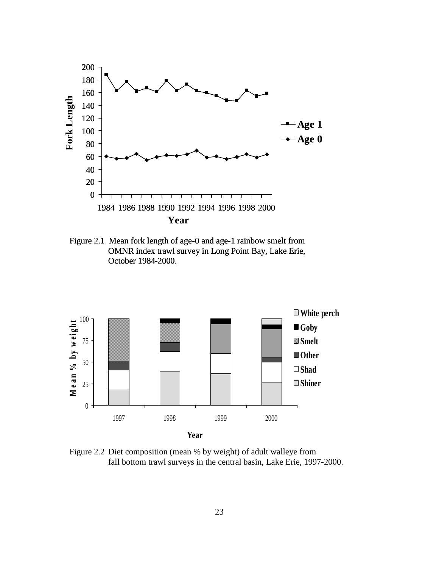

Figure 2.1 Mean fork length of age-0 and age-1 rainbow smelt from OMNR index trawl survey in Long Point Bay, Lake Erie, October 1984-2000.



Figure 2.2 Diet composition (mean % by weight) of adult walleye from fall bottom trawl surveys in the central basin, Lake Erie, 1997-2000.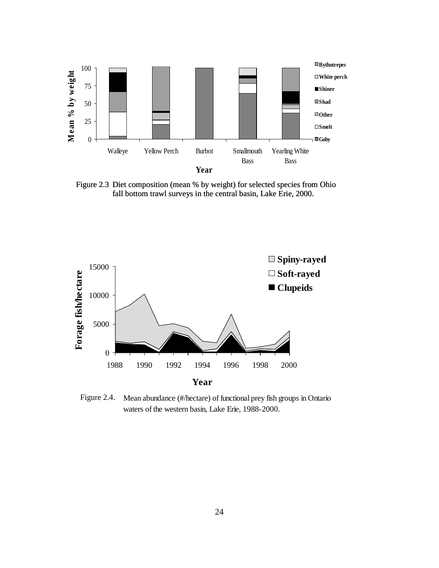

Figure 2.3 Diet composition (mean % by weight) for selected species from Ohio fall bottom trawl surveys in the central basin, Lake Erie, 2000.



Mean abundance (#/hectare) of functional prey fish groups in Ontario waters of the western basin, Lake Erie, 1988-2000. Figure 2.4.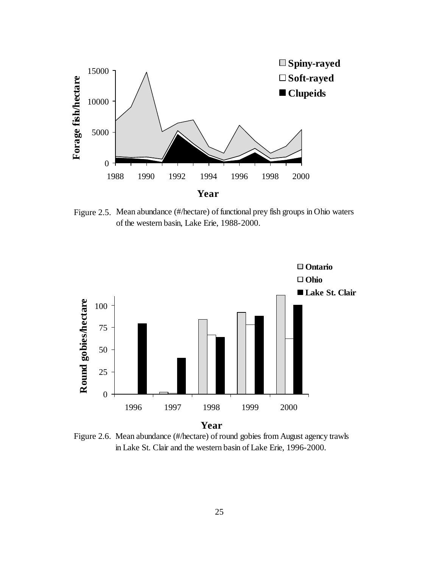

Figure 2.5. Mean abundance (#/hectare) of functional prey fish groups in Ohio waters of the western basin, Lake Erie, 1988-2000.



Figure 2.6. Mean abundance (#/hectare) of round gobies from August agency trawls in Lake St. Clair and the western basin of Lake Erie, 1996-2000.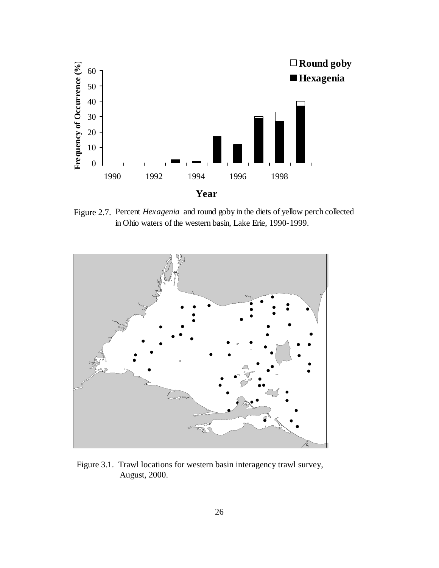

Figure 2.7. Percent *Hexagenia* and round goby in the diets of yellow perch collected in Ohio waters of the western basin, Lake Erie, 1990-1999.



Figure 3.1. Trawl locations for western basin interagency trawl survey, August, 2000.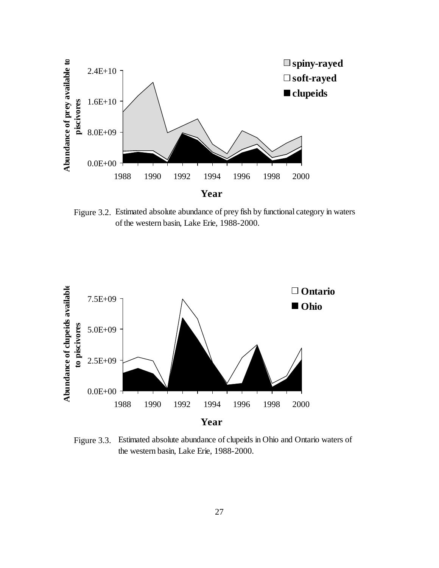

Figure 3.2. Estimated absolute abundance of prey fish by functional category in waters of the western basin, Lake Erie, 1988-2000.



Figure 3.3. Estimated absolute abundance of clupeids in Ohio and Ontario waters of the western basin, Lake Erie, 1988-2000.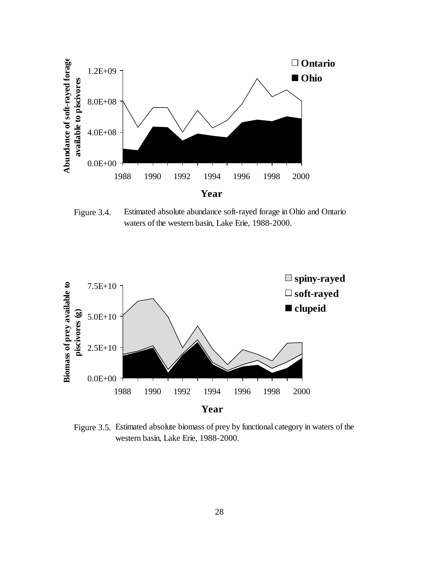

Estimated absolute abundance soft-rayed forage in Ohio and Ontario waters of the western basin, Lake Erie, 1988-2000. Figure 3.4.



Figure 3.5. Estimated absolute biomass of prey by functional category in waters of the western basin, Lake Erie, 1988-2000.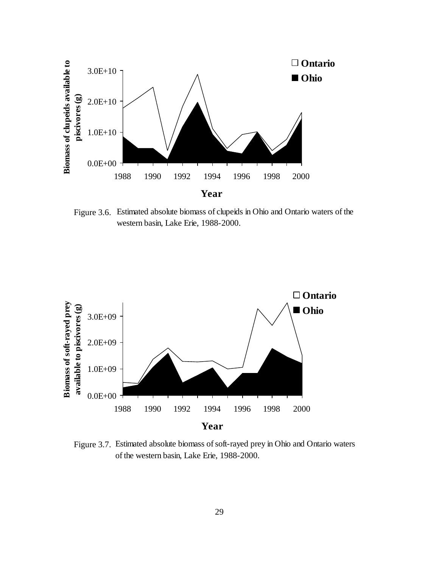

Figure 3.6. Estimated absolute biomass of clupeids in Ohio and Ontario waters of the western basin, Lake Erie, 1988-2000.



Figure 3.7. Estimated absolute biomass of soft-rayed prey in Ohio and Ontario waters of the western basin, Lake Erie, 1988-2000.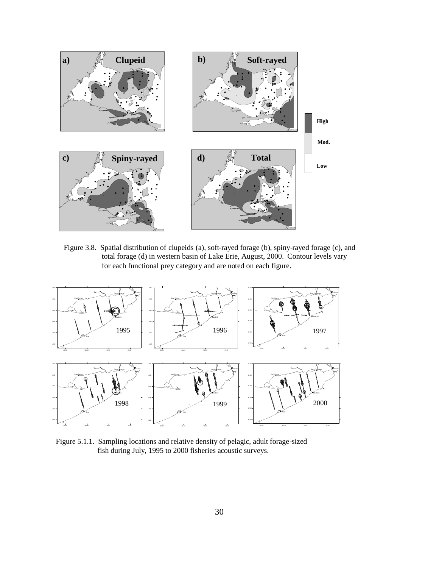

Figure 3.8. Spatial distribution of clupeids (a), soft-rayed forage (b), spiny-rayed forage (c), and total forage (d) in western basin of Lake Erie, August, 2000. Contour levels vary for each functional prey category and are noted on each figure.



Figure 5.1.1. Sampling locations and relative density of pelagic, adult forage-sized fish during July, 1995 to 2000 fisheries acoustic surveys.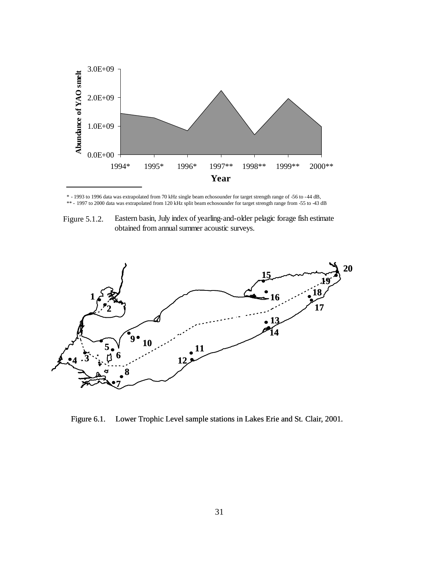

\* - 1993 to 1996 data was extrapolated from 70 kHz single beam echosounder for target strength range of -56 to -44 dB, \*\* - 1997 to 2000 data was extrapolated from 120 kHz split beam echosounder for target strength range from -55 to -43 dB

Eastern basin, July index of yearling-and-older pelagic forage fish estimate obtained from annual summer acoustic surveys. Figure 5.1.2.



Figure 6.1. Lower Trophic Level sample stations in Lakes Erie and St. Clair, 2001.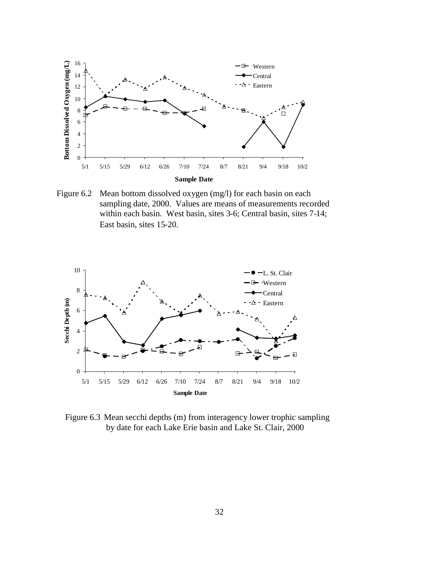

Mean bottom dissolved oxygen (mg/l) for each basin on each sampling date, 2000. Values are means of measurements recorded within each basin. West basin, sites 3-6; Central basin, sites 7-14; East basin, sites 15-20. Figure 6.2



Figure 6.3 Mean secchi depths (m) from interagency lower trophic sampling by date for each Lake Erie basin and Lake St. Clair, 2000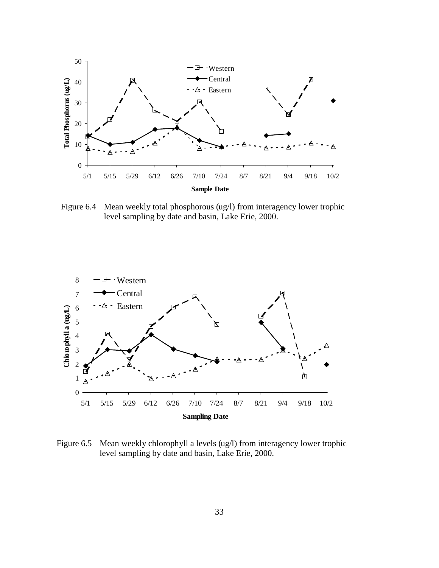

Mean weekly total phosphorous (ug/l) from interagency lower trophic level sampling by date and basin, Lake Erie, 2000. Figure 6.4



Mean weekly chlorophyll a levels (ug/l) from interagency lower trophic level sampling by date and basin, Lake Erie, 2000. Figure 6.5